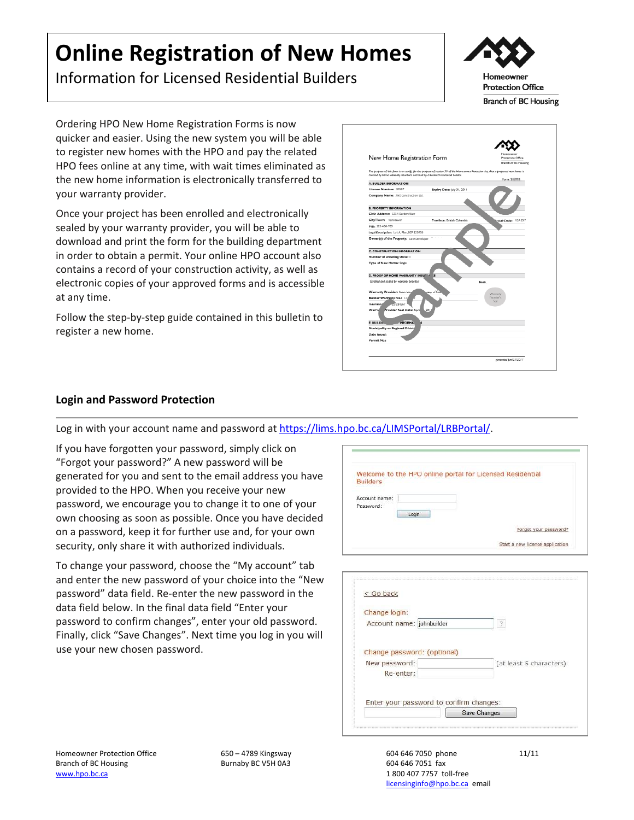# **Online Registration of New Homes**

Information for Licensed Residential Builders



Ordering HPO New Home Registration Forms is now quicker and easier. Using the new system you will be able to register new homes with the HPO and pay the related HPO fees online at any time, with wait times eliminated as the new home information is electronically transferred to your warranty provider.

Once your project has been enrolled and electronically sealed by your warranty provider, you will be able to download and print the form for the building department in order to obtain a permit. Your online HPO account also contains a record of your construction activity, as well as electronic copies of your approved forms and is accessible at any time.

Follow the step-by-step guide contained in this bulletin to register a new home.



# **Login and Password Protection**

Log in with your account name and password at https://lims.hpo.bc.ca/LIMSPortal/LRBPortal/.

If you have forgotten your password, simply click on "Forgot your password?" A new password will be generated for you and sent to the email address you have provided to the HPO. When you receive your new password, we encourage you to change it to one of your own choosing as soon as possible. Once you have decided on a password, keep it for further use and, for your own security, only share it with authorized individuals.

To change your password, choose the "My account" tab and enter the new password of your choice into the "New password" data field. Re‐enter the new password in the data field below. In the final data field "Enter your password to confirm changes", enter your old password. Finally, click "Save Changes". Next time you log in you will use your new chosen password.

|                 |       | Welcome to the HPO online portal for Licensed Residential |
|-----------------|-------|-----------------------------------------------------------|
| <b>Builders</b> |       |                                                           |
| Account name:   |       |                                                           |
| Password:       |       |                                                           |
|                 | Login |                                                           |
|                 |       |                                                           |
|                 |       | Forgot your password?                                     |

| 3                                       |
|-----------------------------------------|
|                                         |
|                                         |
| (at least 5 characters)                 |
|                                         |
|                                         |
| Enter your password to confirm changes: |
|                                         |

Homeowner Protection Office Branch of BC Housing www.hpo.bc.ca

650 – 4789 Kingsway Burnaby BC V5H 0A3

604 646 7050 phone 11/11 604 646 7051 fax 1 800 407 7757 toll‐free licensinginfo@hpo.bc.ca email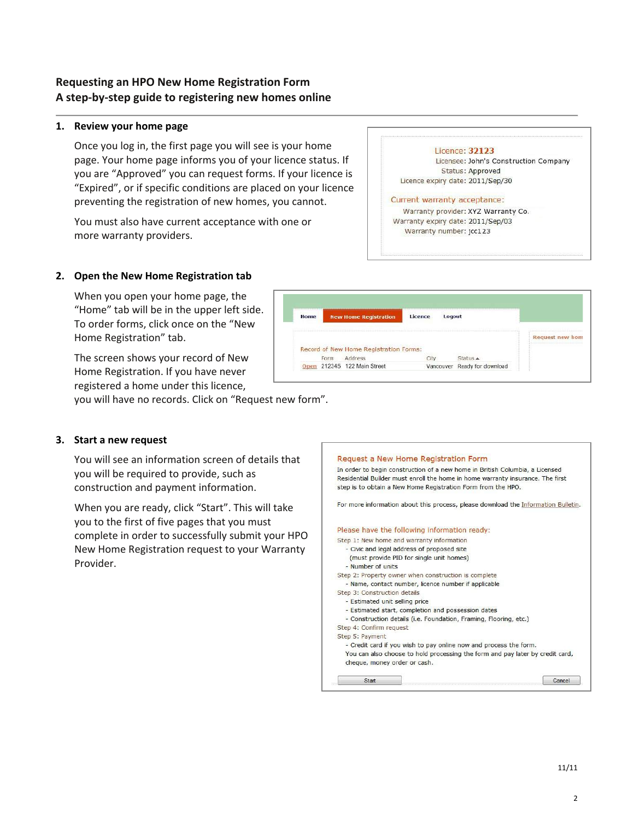# **Requesting an HPO New Home Registration Form A step‐by‐step guide to registering new homes online**

#### **1. Review your home page**

Once you log in, the first page you will see is your home page. Your home page informs you of your licence status. If you are "Approved" you can request forms. If your licence is "Expired", or if specific conditions are placed on your licence preventing the registration of new homes, you cannot.

You must also have current acceptance with one or more warranty providers.

# **2. Open the New Home Registration tab**

When you open your home page, the "Home" tab will be in the upper left side. To order forms, click once on the "New Home Registration" tab.

The screen shows your record of New Home Registration. If you have never registered a home under this licence,

you will have no records. Click on "Request new form".

#### **3. Start a new request**

You will see an information screen of details that you will be required to provide, such as construction and payment information.

When you are ready, click "Start". This will take you to the first of five pages that you must complete in order to successfully submit your HPO New Home Registration request to your Warranty Provider.



#### Licence: 32123

Licensee: John's Construction Company Status: Approved Licence expiry date: 2011/Sep/30

Request new hom

#### Current warranty acceptance:

Logou

Status A

Vancouver Ready for download

Licence

City

New Home Registration

Record of New Home Registration Forms: Address

Home

Form

Open 212345 122 Main Street

Warranty provider: XYZ Warranty Co. Warranty expiry date: 2011/Sep/03 Warranty number: jcc123

2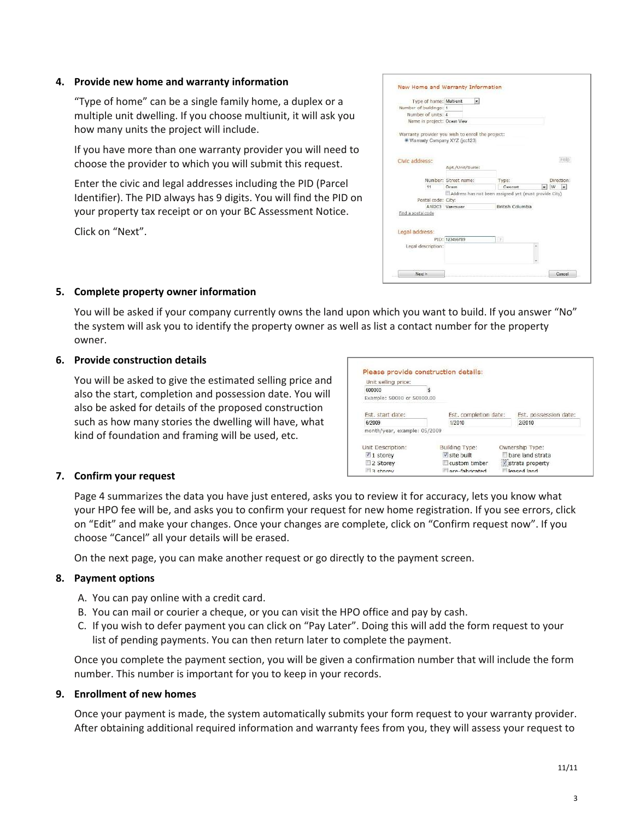#### **4. Provide new home and warranty information**

"Type of home" can be a single family home, a duplex or a multiple unit dwelling. If you choose multiunit, it will ask you how many units the project will include.

If you have more than one warranty provider you will need to choose the provider to which you will submit this request.

Enter the civic and legal addresses including the PID (Parcel Identifier). The PID always has 9 digits. You will find the PID on your property tax receipt or on your BC Assessment Notice.

Click on "Next".

| Type of home: Multi-unit                         |                      | $\bullet$                                             |    |                               |
|--------------------------------------------------|----------------------|-------------------------------------------------------|----|-------------------------------|
| Number of buildings: 1                           |                      |                                                       |    |                               |
| Number of units: 4                               |                      |                                                       |    |                               |
| Name in project: Ocean View                      |                      |                                                       |    |                               |
| Warranty provider you wish to enrol the project: |                      |                                                       |    |                               |
| Warranty Company XYZ (jcc123)                    |                      |                                                       |    |                               |
|                                                  |                      |                                                       |    |                               |
|                                                  |                      |                                                       |    | Halo                          |
| Civic address:                                   |                      |                                                       |    |                               |
|                                                  | Apt./Unit/Suite:     |                                                       |    |                               |
|                                                  | Number: Street name: | Type:                                                 |    | Direction:                    |
| 11                                               | Ocean                | Crescont                                              | ∙∣ | W.<br>$\overline{\mathbf{x}}$ |
|                                                  |                      | Address has not been assigned yet (must provide City) |    |                               |
| Postal code: City:                               |                      |                                                       |    |                               |
|                                                  | A1B2C3 Vancouver     | British Columbia                                      |    |                               |
| Find a postal code                               |                      |                                                       |    |                               |
|                                                  |                      |                                                       |    |                               |
|                                                  |                      |                                                       |    |                               |
| Legal address:                                   |                      |                                                       |    |                               |
|                                                  | PID: 123456789       | FW)                                                   |    |                               |
| Legal description:                               |                      |                                                       |    |                               |
|                                                  |                      |                                                       |    |                               |
|                                                  |                      |                                                       |    |                               |

#### **5. Complete property owner information**

You will be asked if your company currently owns the land upon which you want to build. If you answer "No" the system will ask you to identify the property owner as well as list a contact number for the property owner.

#### **6. Provide construction details**

You will be asked to give the estimated selling price and also the start, completion and possession date. You will also be asked for details of the proposed construction such as how many stories the dwelling will have, what kind of foundation and framing will be used, etc.

| Unit selling price:          |                       |                       |
|------------------------------|-----------------------|-----------------------|
| 600000                       |                       |                       |
| Example: 50000 or 50000.00   |                       |                       |
| Est. start date:             | Est. completion date: | Est. possession date: |
| 6/2009                       | 1/2010                | 2/2010                |
| month/year, example: 05/2009 |                       |                       |
| Unit Description:            | Building Type:        | Ownership Type:       |
| $\sqrt{1}$ storey            | V site built          | hare land strata      |
| 2 Storey                     | custom timber         | strata property       |
|                              |                       |                       |

#### **7. Confirm your request**

Page 4 summarizes the data you have just entered, asks you to review it for accuracy, lets you know what your HPO fee will be, and asks you to confirm your request for new home registration. If you see errors, click on "Edit" and make your changes. Once your changes are complete, click on "Confirm request now". If you choose "Cancel" all your details will be erased.

On the next page, you can make another request or go directly to the payment screen.

#### **8. Payment options**

- A. You can pay online with a credit card.
- B. You can mail or courier a cheque, or you can visit the HPO office and pay by cash.
- C. If you wish to defer payment you can click on "Pay Later". Doing this will add the form request to your list of pending payments. You can then return later to complete the payment.

Once you complete the payment section, you will be given a confirmation number that will include the form number. This number is important for you to keep in your records.

#### **9. Enrollment of new homes**

Once your payment is made, the system automatically submits your form request to your warranty provider. After obtaining additional required information and warranty fees from you, they will assess your request to